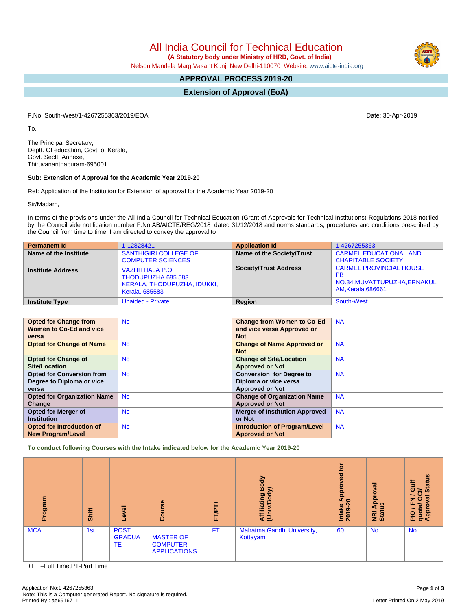All India Council for Technical Education

 **(A Statutory body under Ministry of HRD, Govt. of India)**

Nelson Mandela Marg,Vasant Kunj, New Delhi-110070 Website: [www.aicte-india.org](http://www.aicte-india.org)

# **APPROVAL PROCESS 2019-20**

**Extension of Approval (EoA)**

F.No. South-West/1-4267255363/2019/EOA Date: 30-Apr-2019

To,

The Principal Secretary, Deptt. Of education, Govt. of Kerala, Govt. Sectt. Annexe, Thiruvananthapuram-695001

## **Sub: Extension of Approval for the Academic Year 2019-20**

Ref: Application of the Institution for Extension of approval for the Academic Year 2019-20

Sir/Madam,

In terms of the provisions under the All India Council for Technical Education (Grant of Approvals for Technical Institutions) Regulations 2018 notified by the Council vide notification number F.No.AB/AICTE/REG/2018 dated 31/12/2018 and norms standards, procedures and conditions prescribed by the Council from time to time, I am directed to convey the approval to

| <b>Permanent Id</b>      | 1-12828421                                                                                           | <b>Application Id</b>        | 1-4267255363                                                                                             |
|--------------------------|------------------------------------------------------------------------------------------------------|------------------------------|----------------------------------------------------------------------------------------------------------|
| Name of the Institute    | <b>SANTHIGIRI COLLEGE OF</b><br><b>COMPUTER SCIENCES</b>                                             | Name of the Society/Trust    | <b>CARMEL EDUCATIONAL AND</b><br><b>CHARITABLE SOCIETY</b>                                               |
| <b>Institute Address</b> | <b>VAZHITHALA P.O.</b><br>THODUPUZHA 685 583<br>KERALA, THODUPUZHA, IDUKKI,<br><b>Kerala, 685583</b> | <b>Society/Trust Address</b> | <b>CARMEL PROVINCIAL HOUSE</b><br><b>PB</b><br>NO.34, MUVATTUPUZHA, ERNAKUL<br><b>AM, Kerala, 686661</b> |
| <b>Institute Type</b>    | <b>Unaided - Private</b>                                                                             | Region                       | South-West                                                                                               |

| <b>Opted for Change from</b>       | <b>No</b> | <b>Change from Women to Co-Ed</b>     | <b>NA</b> |
|------------------------------------|-----------|---------------------------------------|-----------|
| Women to Co-Ed and vice            |           | and vice versa Approved or            |           |
|                                    |           |                                       |           |
| versa                              |           | <b>Not</b>                            |           |
| <b>Opted for Change of Name</b>    | <b>No</b> | <b>Change of Name Approved or</b>     | <b>NA</b> |
|                                    |           | <b>Not</b>                            |           |
| <b>Opted for Change of</b>         | <b>No</b> | <b>Change of Site/Location</b>        | <b>NA</b> |
| <b>Site/Location</b>               |           | <b>Approved or Not</b>                |           |
| <b>Opted for Conversion from</b>   | <b>No</b> | <b>Conversion for Degree to</b>       | <b>NA</b> |
| Degree to Diploma or vice          |           | Diploma or vice versa                 |           |
| versa                              |           | <b>Approved or Not</b>                |           |
| <b>Opted for Organization Name</b> | <b>No</b> | <b>Change of Organization Name</b>    | <b>NA</b> |
| Change                             |           | <b>Approved or Not</b>                |           |
| <b>Opted for Merger of</b>         | <b>No</b> | <b>Merger of Institution Approved</b> | <b>NA</b> |
| <b>Institution</b>                 |           | or Not                                |           |
| Opted for Introduction of          | <b>No</b> | <b>Introduction of Program/Level</b>  | <b>NA</b> |
| <b>New Program/Level</b>           |           | <b>Approved or Not</b>                |           |

**To conduct following Courses with the Intake indicated below for the Academic Year 2019-20**

| ogram<br>ō. | Shift | g<br>ق                             | Course                                                     | ٠<br>FT/PT | Body<br>⋦<br>Affiliating<br>(Univ/Bod <sub>)</sub> | tor<br>g<br>۰<br>윤<br>₹<br>$\circ$<br><b>Intake</b><br>2019-2 | ζā<br>ō.<br>윤<br>ಀ಼<br>∢<br><b>Ri</b><br>Stat | <b>Status</b><br>ŧ<br>ဖ<br>ਰੋ<br>ℼ<br>z<br>о<br>ш.<br>quot<br>Appr<br>$\frac{1}{2}$ |
|-------------|-------|------------------------------------|------------------------------------------------------------|------------|----------------------------------------------------|---------------------------------------------------------------|-----------------------------------------------|-------------------------------------------------------------------------------------|
| <b>MCA</b>  | 1st   | <b>POST</b><br><b>GRADUA</b><br>TE | <b>MASTER OF</b><br><b>COMPUTER</b><br><b>APPLICATIONS</b> | <b>FT</b>  | Mahatma Gandhi University,<br>Kottayam             | 60                                                            | <b>No</b>                                     | No.                                                                                 |

+FT –Full Time,PT-Part Time

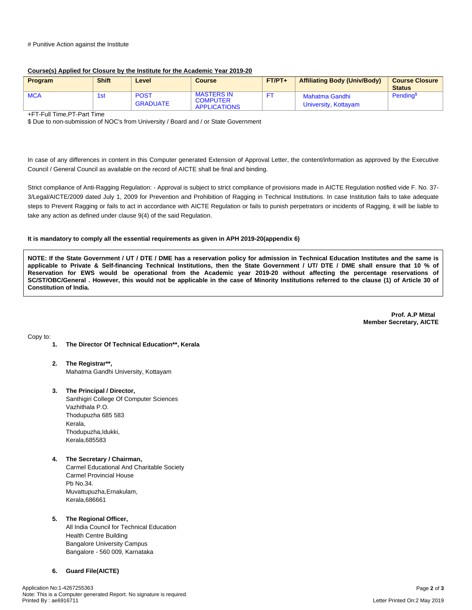#### # Punitive Action against the Institute

### **Course(s) Applied for Closure by the Institute for the Academic Year 2019-20**

| Program    | <b>Shift</b> | Level                          | <b>Course</b>                                               | $FT/PT+$ | <b>Affiliating Body (Univ/Body)</b>    | <b>Course Closure</b><br><b>Status</b> |
|------------|--------------|--------------------------------|-------------------------------------------------------------|----------|----------------------------------------|----------------------------------------|
| <b>MCA</b> | 1st          | <b>POST</b><br><b>GRADUATE</b> | <b>MASTERS IN</b><br><b>COMPUTER</b><br><b>APPLICATIONS</b> |          | Mahatma Gandhi<br>University, Kottayam | Pending <sup>\$</sup>                  |

+FT-Full Time,PT-Part Time

\$ Due to non-submission of NOC's from University / Board and / or State Government

In case of any differences in content in this Computer generated Extension of Approval Letter, the content/information as approved by the Executive Council / General Council as available on the record of AICTE shall be final and binding.

Strict compliance of Anti-Ragging Regulation: - Approval is subject to strict compliance of provisions made in AICTE Regulation notified vide F. No. 37- 3/Legal/AICTE/2009 dated July 1, 2009 for Prevention and Prohibition of Ragging in Technical Institutions. In case Institution fails to take adequate steps to Prevent Ragging or fails to act in accordance with AICTE Regulation or fails to punish perpetrators or incidents of Ragging, it will be liable to take any action as defined under clause 9(4) of the said Regulation.

### **It is mandatory to comply all the essential requirements as given in APH 2019-20(appendix 6)**

NOTE: If the State Government / UT / DTE / DME has a reservation policy for admission in Technical Education Institutes and the same is applicable to Private & Self-financing Technical Institutions, then the State Government / UT/ DTE / DME shall ensure that 10 % of Reservation for EWS would be operational from the Academic year 2019-20 without affecting the percentage reservations of SC/ST/OBC/General . However, this would not be applicable in the case of Minority Institutions referred to the clause (1) of Article 30 of **Constitution of India.**

> **Prof. A.P Mittal Member Secretary, AICTE**

Copy to:

- **1. The Director Of Technical Education\*\*, Kerala**
- **2. The Registrar\*\*,** Mahatma Gandhi University, Kottayam
- **3. The Principal / Director,** Santhigiri College Of Computer Sciences Vazhithala P.O. Thodupuzha 685 583 Kerala, Thodupuzha,Idukki, Kerala,685583
- **4. The Secretary / Chairman,**

Carmel Educational And Charitable Society Carmel Provincial House Pb No.34. Muvattupuzha,Ernakulam, Kerala,686661

### **5. The Regional Officer,**

All India Council for Technical Education Health Centre Building Bangalore University Campus Bangalore - 560 009, Karnataka

### **6. Guard File(AICTE)**